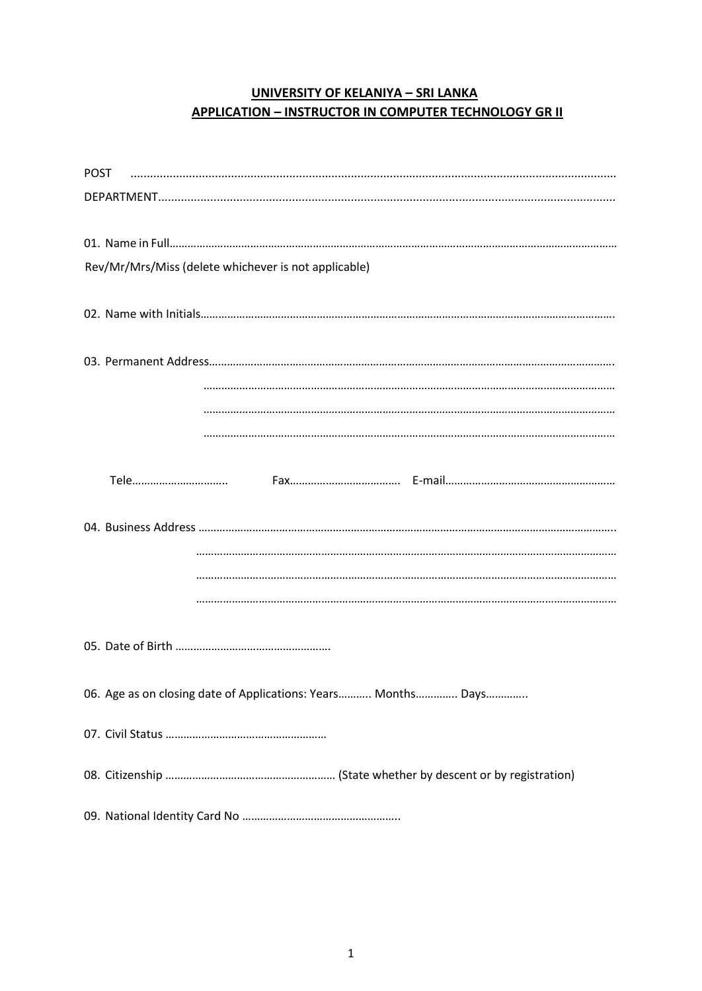#### **UNIVERSITY OF KELANIYA - SRI LANKA APPLICATION - INSTRUCTOR IN COMPUTER TECHNOLOGY GR II**

| Rev/Mr/Mrs/Miss (delete whichever is not applicable)          |
|---------------------------------------------------------------|
|                                                               |
|                                                               |
|                                                               |
|                                                               |
|                                                               |
|                                                               |
|                                                               |
|                                                               |
|                                                               |
| 06. Age as on closing date of Applications: Years Months Days |
|                                                               |
|                                                               |
|                                                               |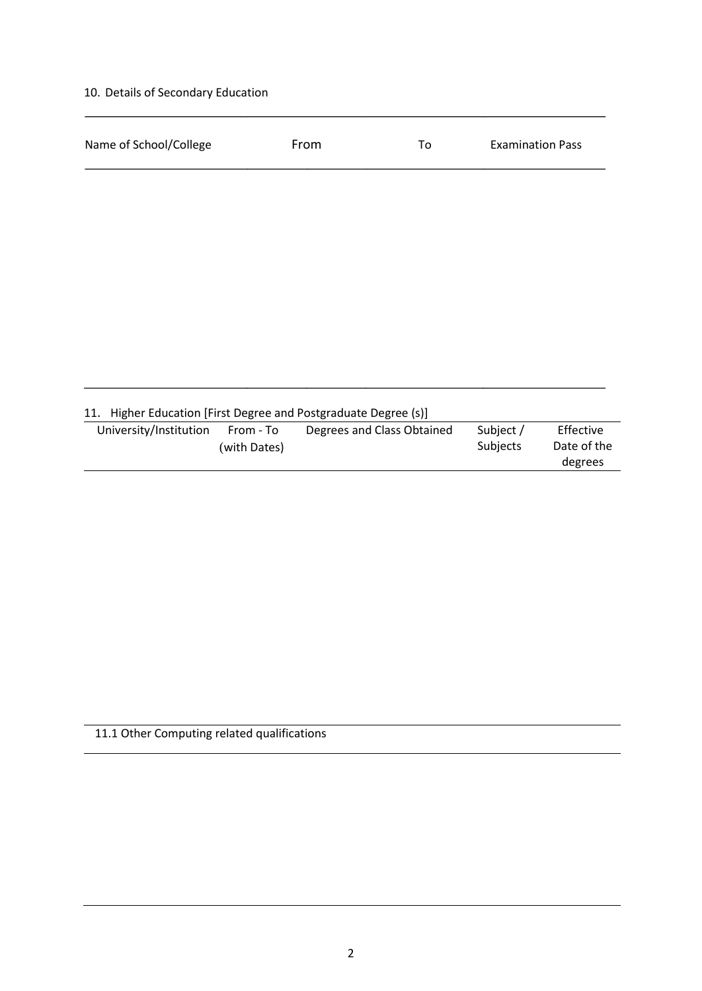# 10. Details of Secondary Education

| Name of School/College |                           | From                                                        | To | <b>Examination Pass</b> |                                     |
|------------------------|---------------------------|-------------------------------------------------------------|----|-------------------------|-------------------------------------|
|                        |                           |                                                             |    |                         |                                     |
|                        |                           |                                                             |    |                         |                                     |
|                        |                           |                                                             |    |                         |                                     |
|                        |                           |                                                             |    |                         |                                     |
|                        |                           |                                                             |    |                         |                                     |
|                        |                           |                                                             |    |                         |                                     |
|                        |                           |                                                             |    |                         |                                     |
| 11.                    |                           | Higher Education [First Degree and Postgraduate Degree (s)] |    |                         |                                     |
| University/Institution | From - To<br>(with Dates) | Degrees and Class Obtained                                  |    | Subject /<br>Subjects   | Effective<br>Date of the<br>degrees |
|                        |                           |                                                             |    |                         |                                     |

# 11.1 Other Computing related qualifications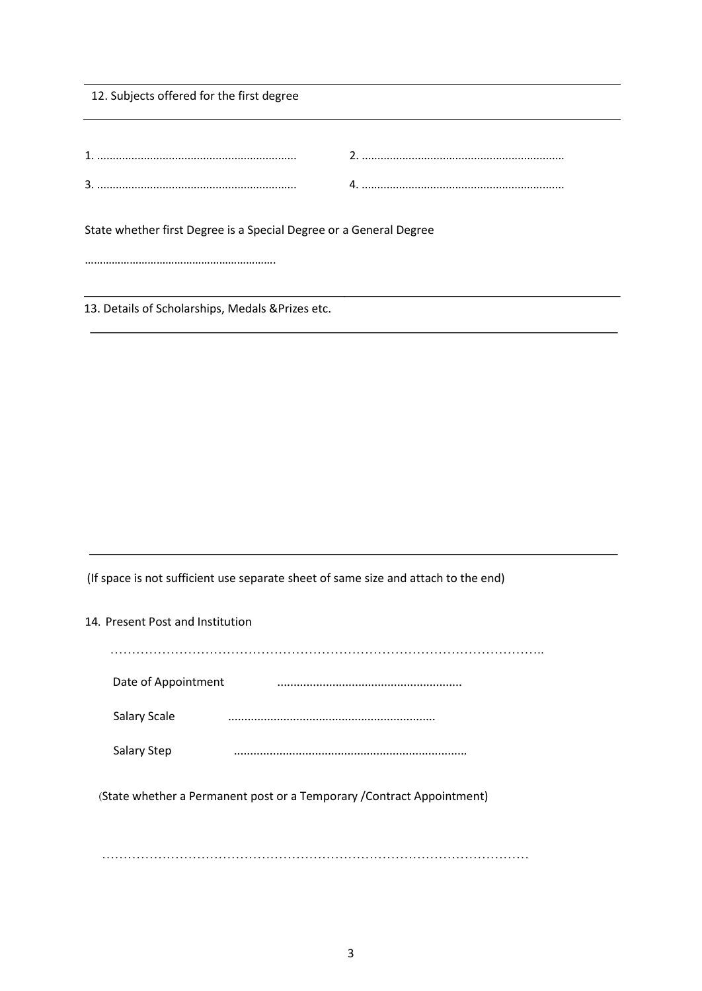| 12. Subjects offered for the first degree                          |  |
|--------------------------------------------------------------------|--|
|                                                                    |  |
|                                                                    |  |
|                                                                    |  |
|                                                                    |  |
| State whether first Degree is a Special Degree or a General Degree |  |

……………………………………………………….

13. Details of Scholarships, Medals &Prizes etc.

(If space is not sufficient use separate sheet of same size and attach to the end)

#### 14. Present Post and Institution

| Date of Appointment |  |
|---------------------|--|
| Salary Scale        |  |
| <b>Salary Step</b>  |  |

^State whether a Permanent post or a Temporary /Contract Appointment)

………………………………………………………………………………………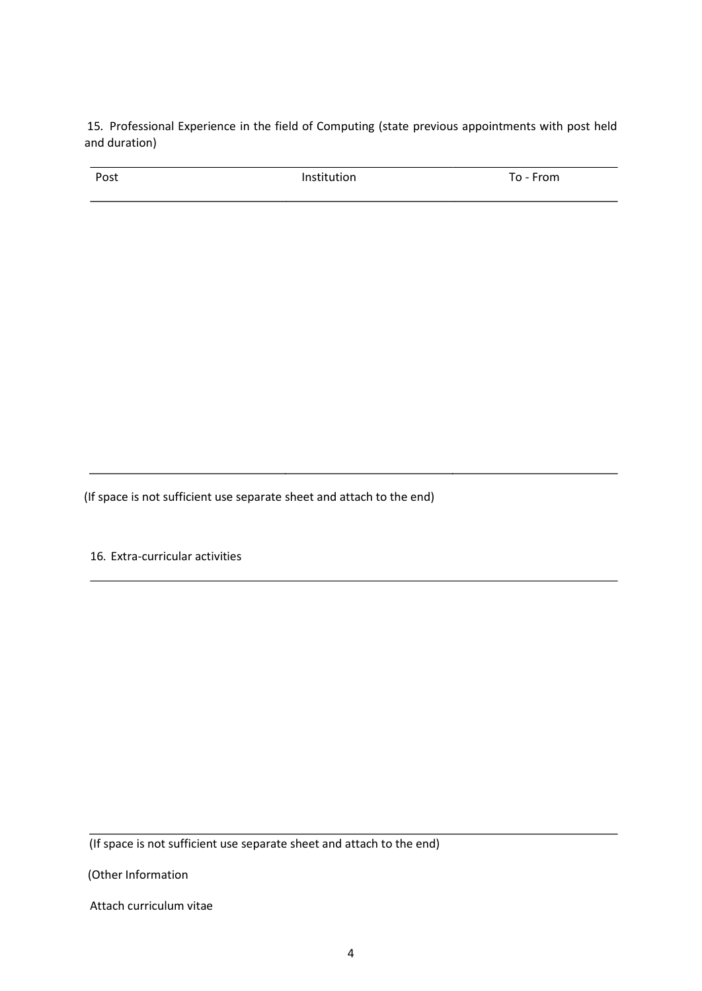15. Professional Experience in the field of Computing (state previous appointments with post held and duration)

| Post | Institution | ∙rom<br>-<br>ı |
|------|-------------|----------------|
|      |             |                |

(If space is not sufficient use separate sheet and attach to the end)

16. Extra-curricular activities

(If space is not sufficient use separate sheet and attach to the end)

(Other Information

Attach curriculum vitae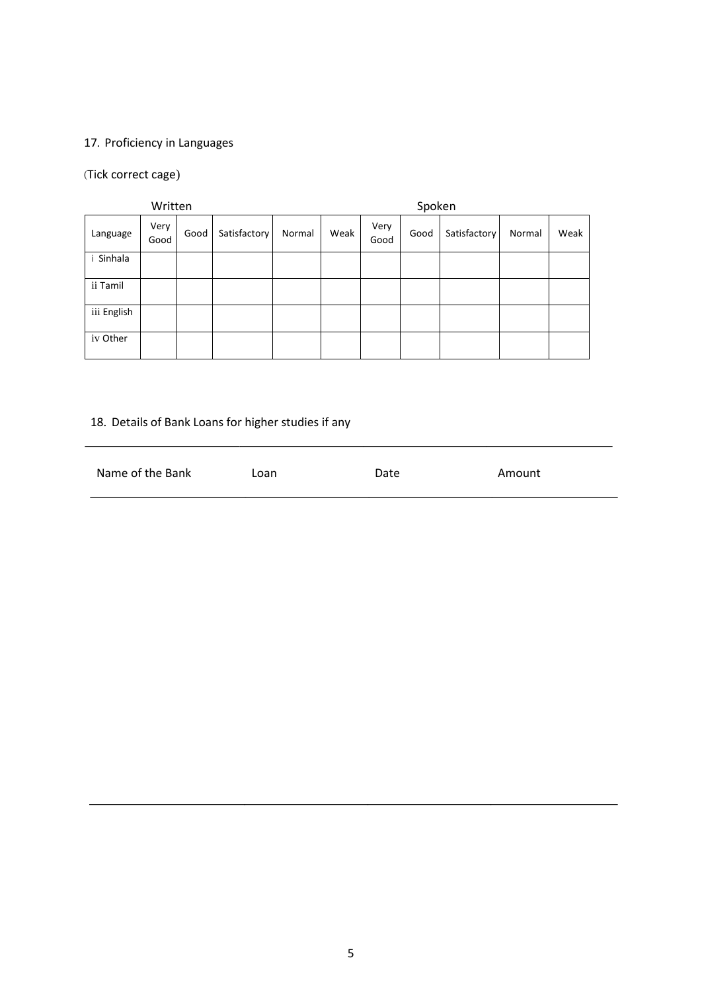# 17. Proficiency in Languages

#### ^Tick correct cage)

| Written     |              |      | Spoken       |        |      |              |      |              |        |      |
|-------------|--------------|------|--------------|--------|------|--------------|------|--------------|--------|------|
| Language    | Very<br>Good | Good | Satisfactory | Normal | Weak | Very<br>Good | Good | Satisfactory | Normal | Weak |
| i Sinhala   |              |      |              |        |      |              |      |              |        |      |
| ii Tamil    |              |      |              |        |      |              |      |              |        |      |
| iii English |              |      |              |        |      |              |      |              |        |      |
| iv Other    |              |      |              |        |      |              |      |              |        |      |

# 18. Details of Bank Loans for higher studies if any

| Name of the Bank | Loan | Date | Amount |
|------------------|------|------|--------|
|                  |      |      |        |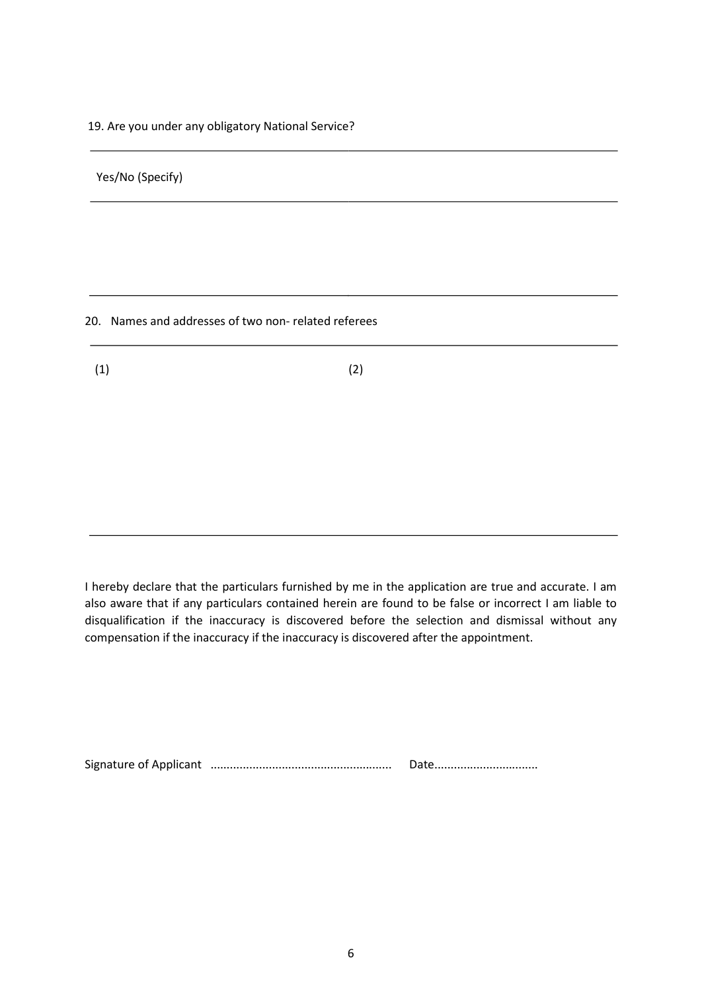19. Are you under any obligatory National Service?

Yes/No (Specify)

20. Names and addresses of two non- related referees

 $(1)$  (2)

I hereby declare that the particulars furnished by me in the application are true and accurate. I am also aware that if any particulars contained herein are found to be false or incorrect I am liable to disqualification if the inaccuracy is discovered before the selection and dismissal without any compensation if the inaccuracy if the inaccuracy is discovered after the appointment.

Signature of Applicant ........................................................ Date................................